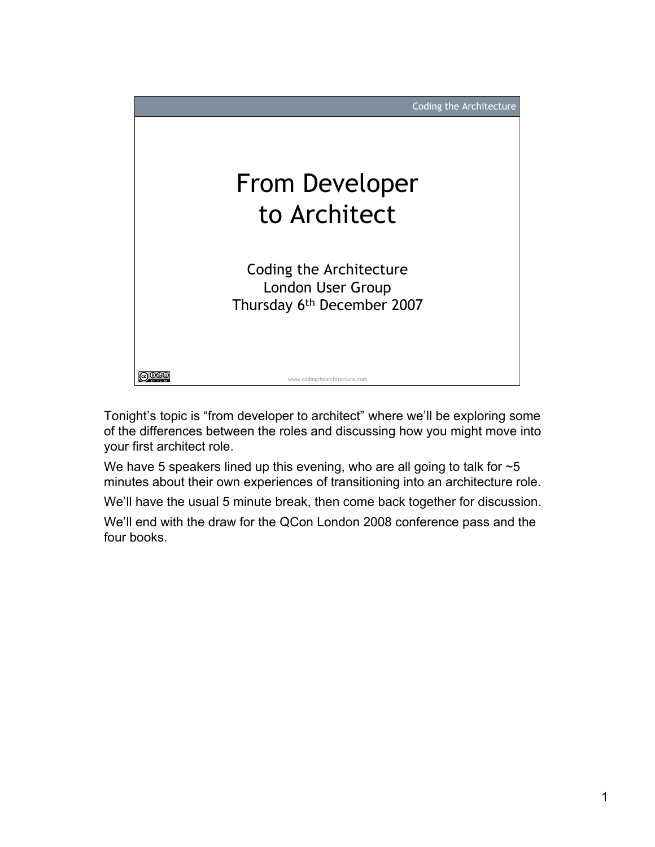

Tonight's topic is "from developer to architect" where we'll be exploring some of the differences between the roles and discussing how you might move into your first architect role.

We have 5 speakers lined up this evening, who are all going to talk for  $\sim$  5 minutes about their own experiences of transitioning into an architecture role.

We'll have the usual 5 minute break, then come back together for discussion.

We'll end with the draw for the QCon London 2008 conference pass and the four books.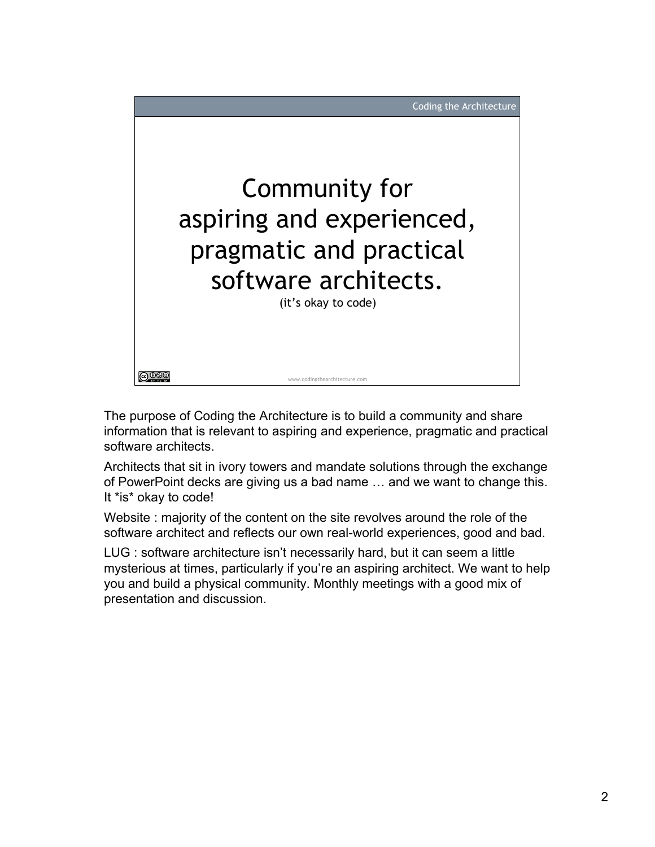

The purpose of Coding the Architecture is to build a community and share information that is relevant to aspiring and experience, pragmatic and practical software architects.

Architects that sit in ivory towers and mandate solutions through the exchange of PowerPoint decks are giving us a bad name … and we want to change this. It \*is\* okay to code!

Website : majority of the content on the site revolves around the role of the software architect and reflects our own real-world experiences, good and bad.

LUG : software architecture isn't necessarily hard, but it can seem a little mysterious at times, particularly if you're an aspiring architect. We want to help you and build a physical community. Monthly meetings with a good mix of presentation and discussion.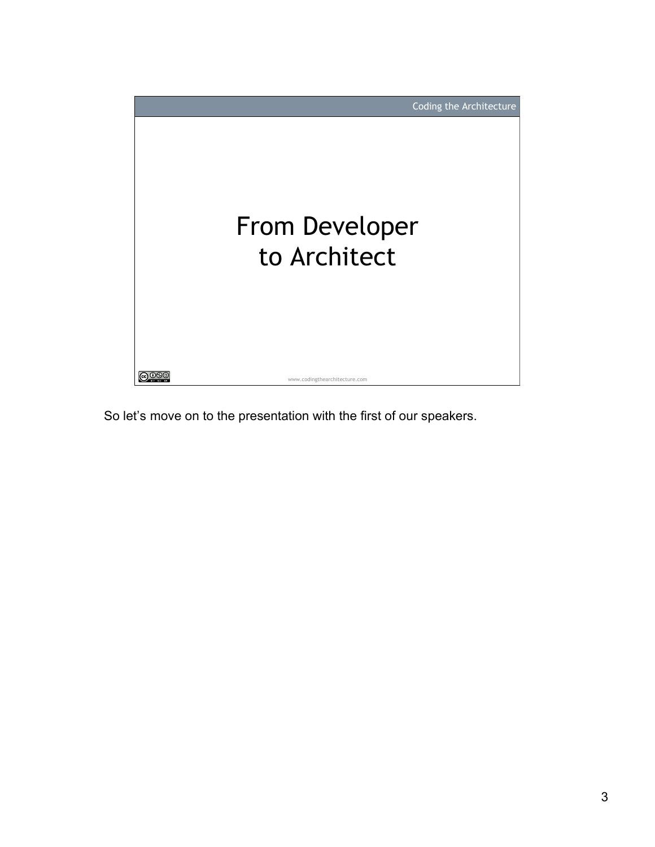

So let's move on to the presentation with the first of our speakers.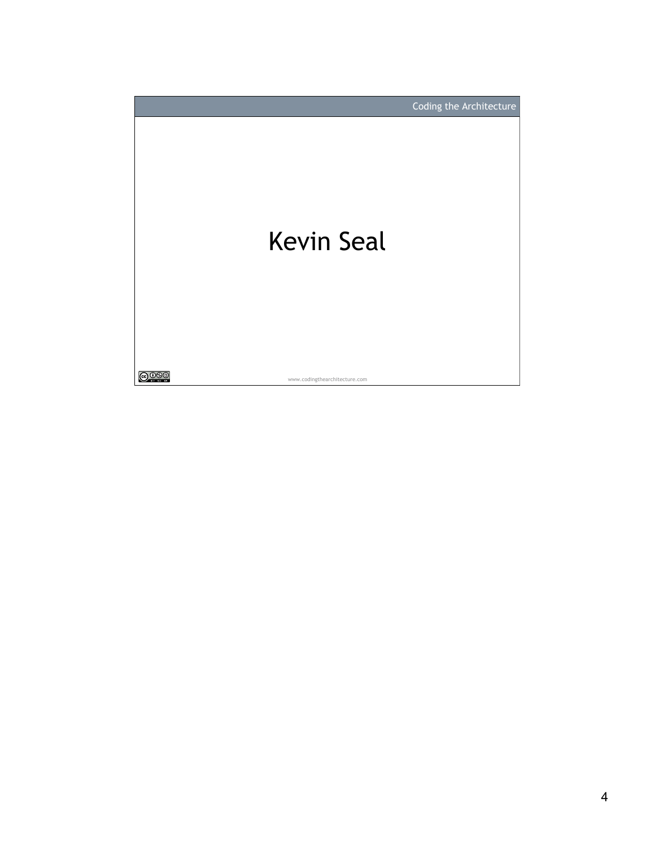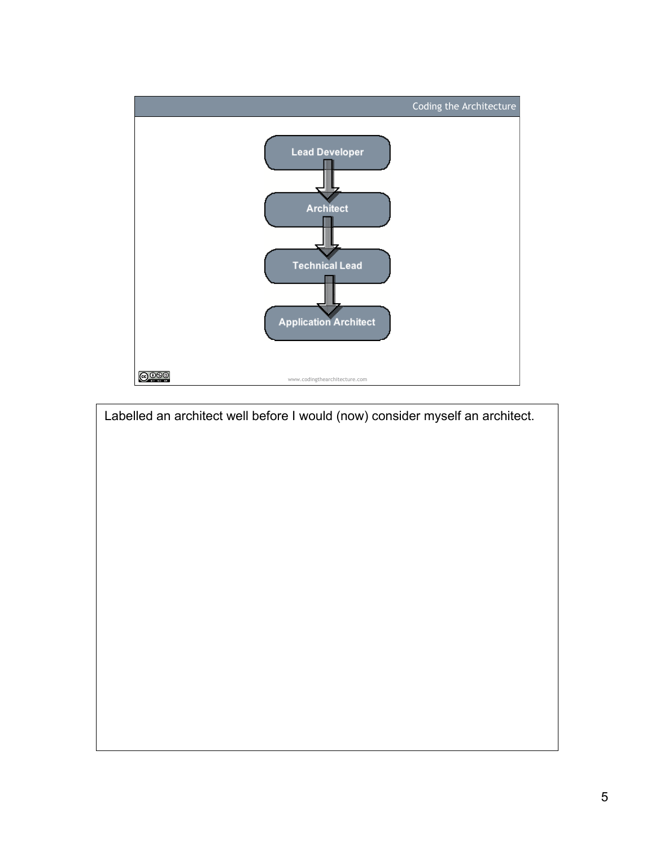

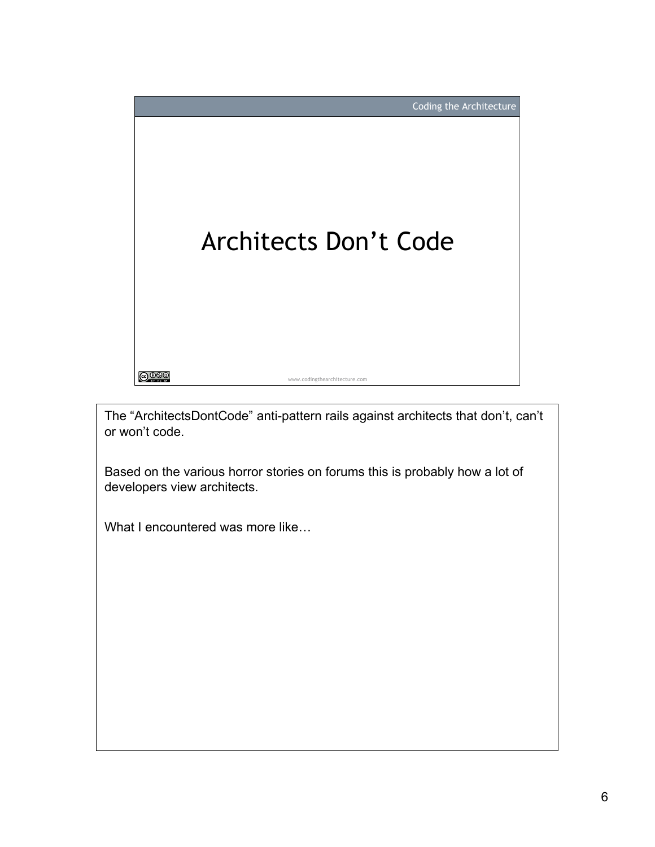

The "ArchitectsDontCode" anti-pattern rails against architects that don't, can't or won't code.

Based on the various horror stories on forums this is probably how a lot of developers view architects.

What I encountered was more like...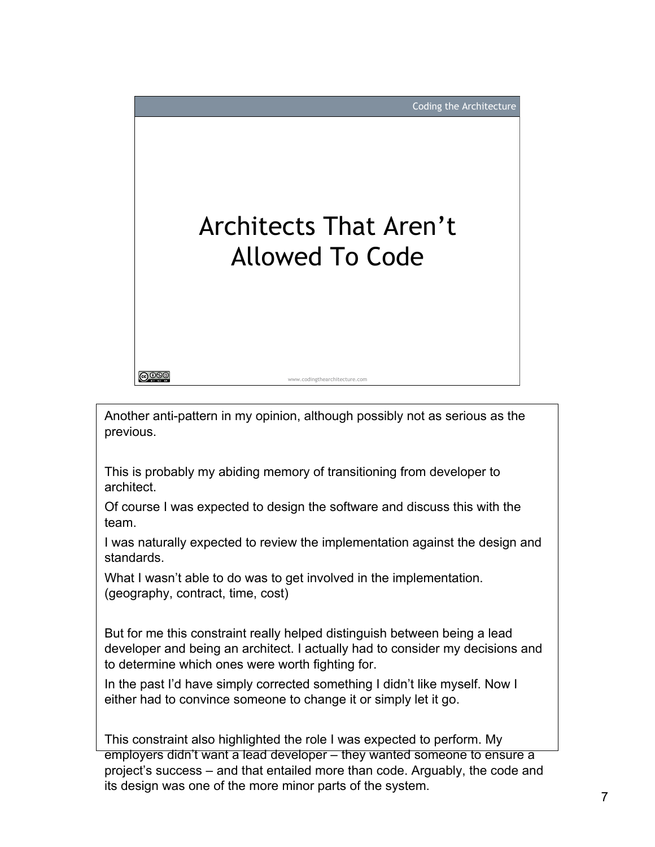

Another anti-pattern in my opinion, although possibly not as serious as the previous.

This is probably my abiding memory of transitioning from developer to architect.

Of course I was expected to design the software and discuss this with the team.

I was naturally expected to review the implementation against the design and standards.

What I wasn't able to do was to get involved in the implementation. (geography, contract, time, cost)

But for me this constraint really helped distinguish between being a lead developer and being an architect. I actually had to consider my decisions and to determine which ones were worth fighting for.

In the past I'd have simply corrected something I didn't like myself. Now I either had to convince someone to change it or simply let it go.

This constraint also highlighted the role I was expected to perform. My employers didn't want a lead developer – they wanted someone to ensure a project's success – and that entailed more than code. Arguably, the code and its design was one of the more minor parts of the system.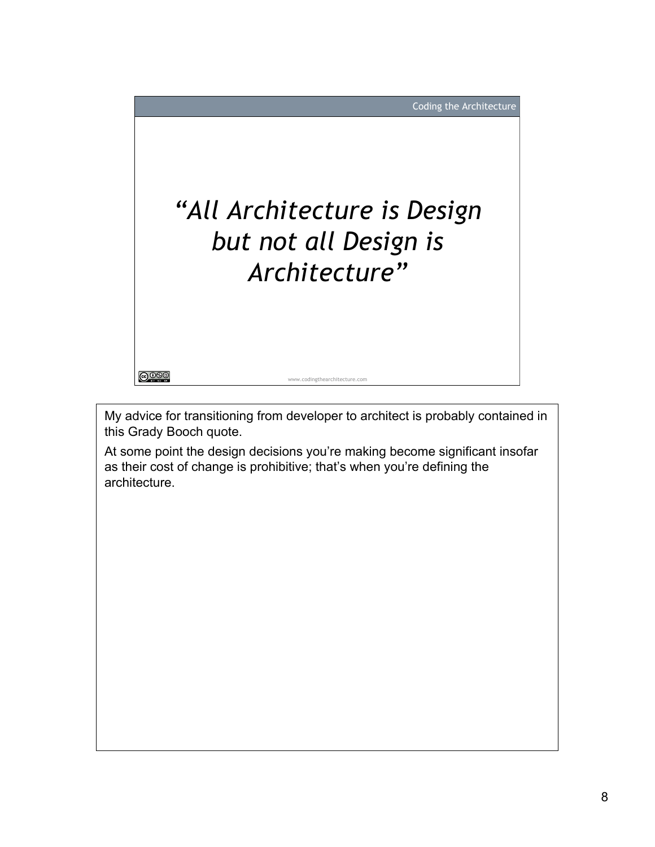

My advice for transitioning from developer to architect is probably contained in this Grady Booch quote.

At some point the design decisions you're making become significant insofar as their cost of change is prohibitive; that's when you're defining the architecture.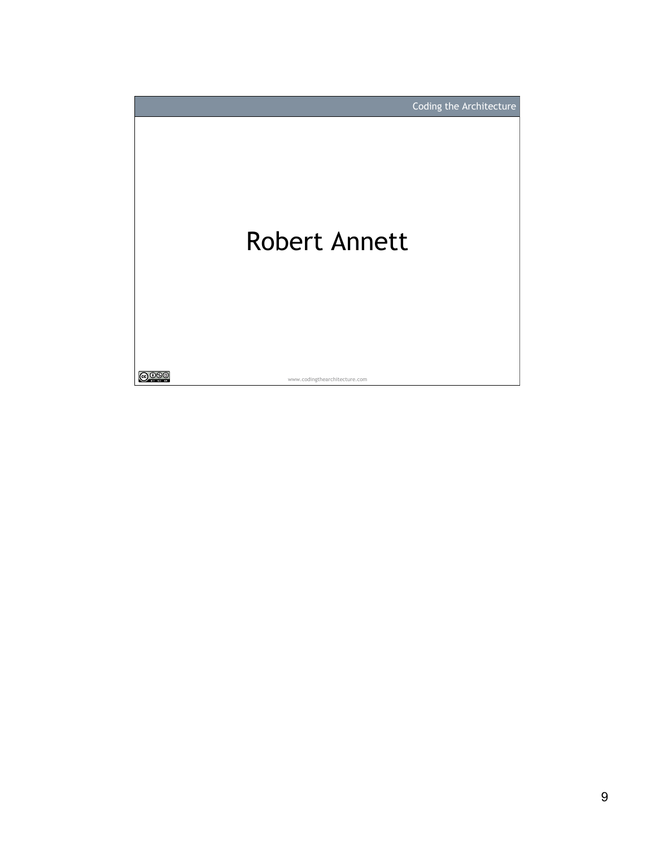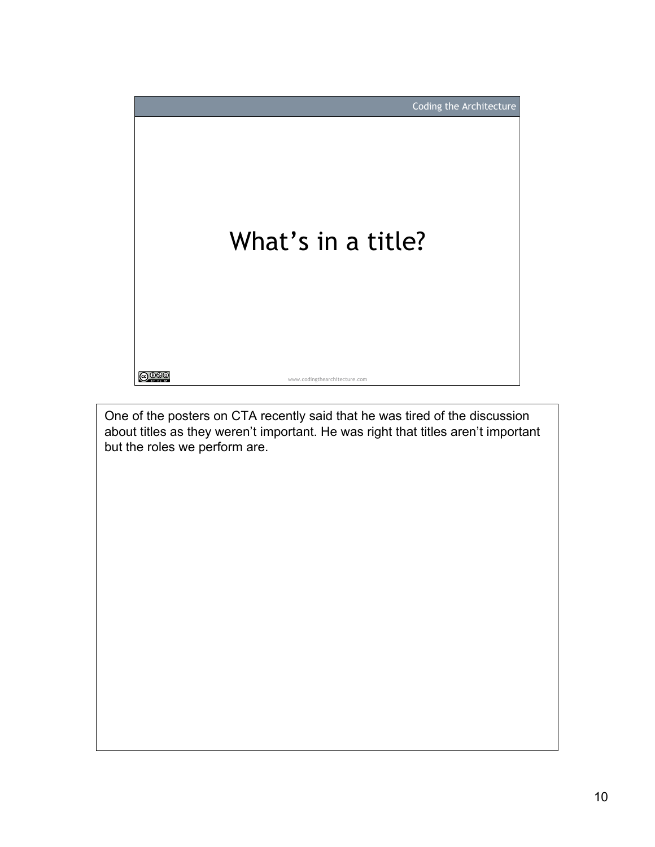

One of the posters on CTA recently said that he was tired of the discussion about titles as they weren't important. He was right that titles aren't important but the roles we perform are.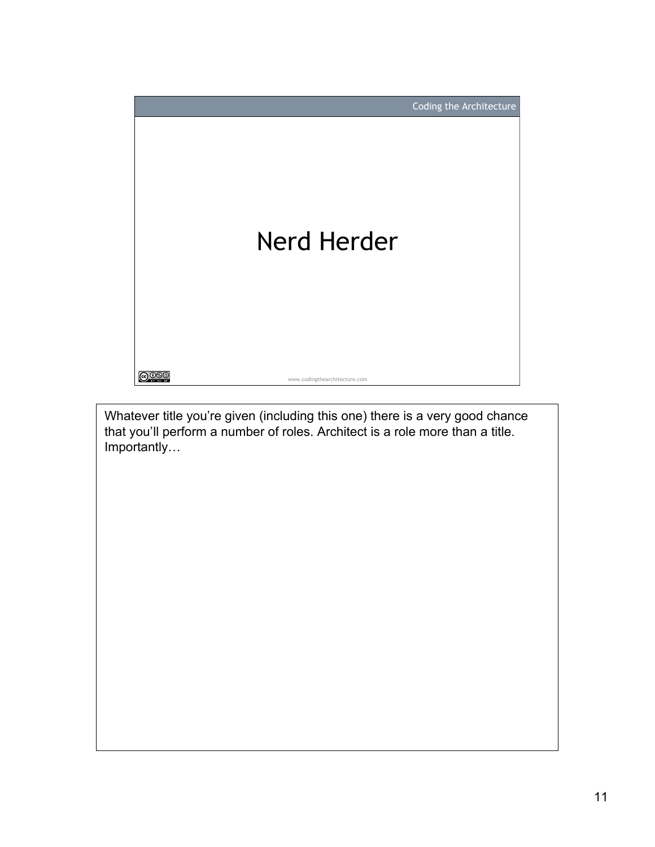

Whatever title you're given (including this one) there is a very good chance that you'll perform a number of roles. Architect is a role more than a title. Importantly…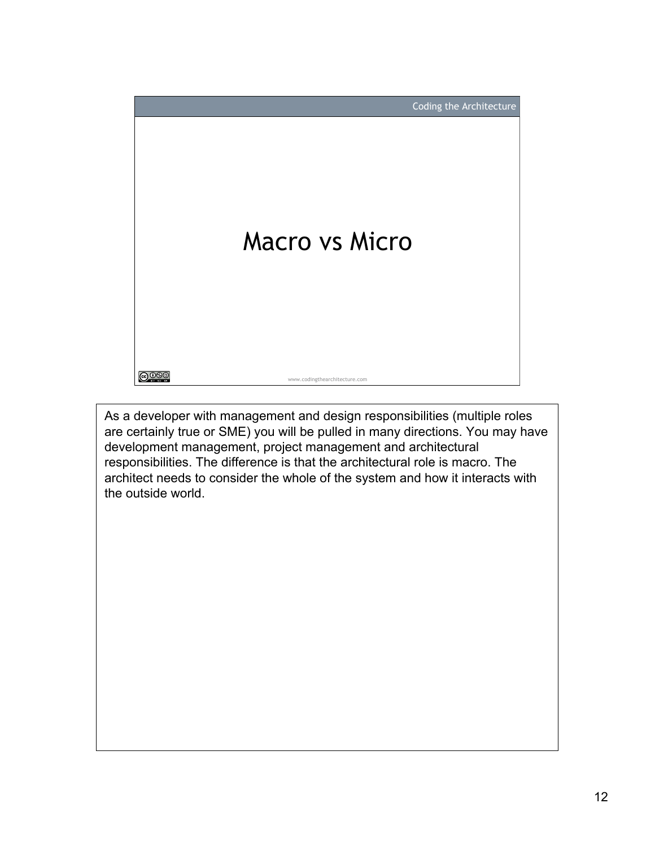

As a developer with management and design responsibilities (multiple roles are certainly true or SME) you will be pulled in many directions. You may have development management, project management and architectural responsibilities. The difference is that the architectural role is macro. The architect needs to consider the whole of the system and how it interacts with the outside world.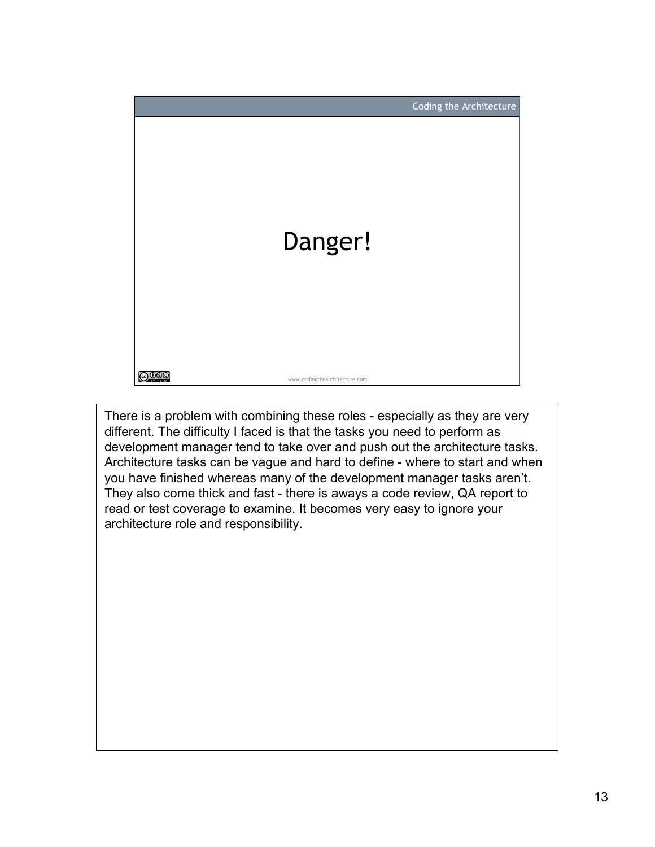

There is a problem with combining these roles - especially as they are very different. The difficulty I faced is that the tasks you need to perform as development manager tend to take over and push out the architecture tasks. Architecture tasks can be vague and hard to define - where to start and when you have finished whereas many of the development manager tasks aren't. They also come thick and fast - there is aways a code review, QA report to read or test coverage to examine. It becomes very easy to ignore your architecture role and responsibility.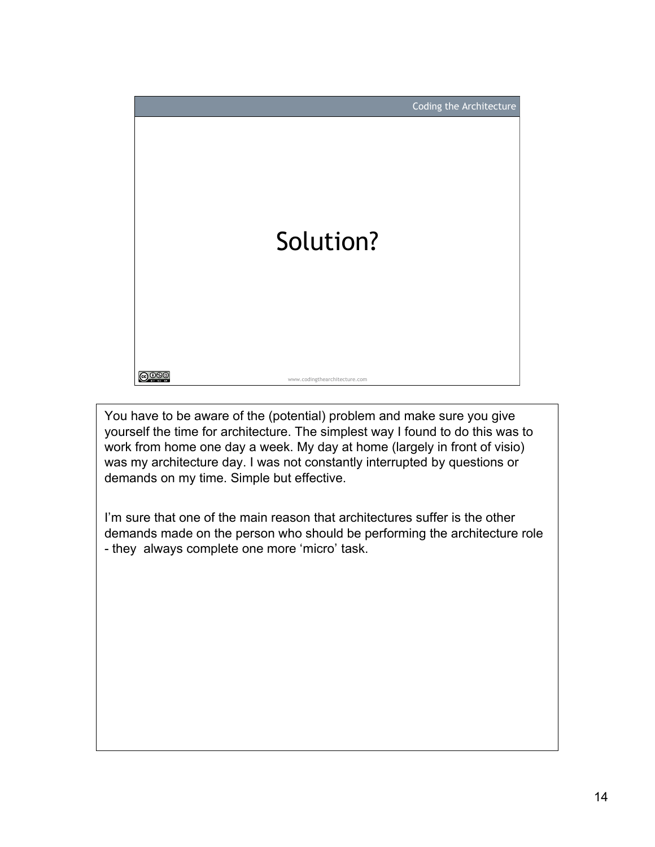

You have to be aware of the (potential) problem and make sure you give yourself the time for architecture. The simplest way I found to do this was to work from home one day a week. My day at home (largely in front of visio) was my architecture day. I was not constantly interrupted by questions or demands on my time. Simple but effective.

I'm sure that one of the main reason that architectures suffer is the other demands made on the person who should be performing the architecture role - they always complete one more 'micro' task.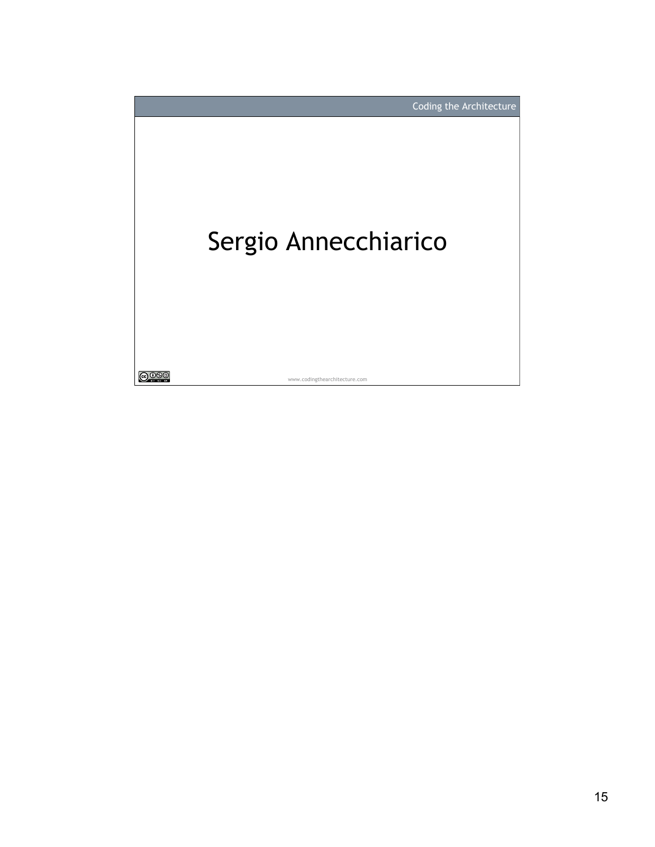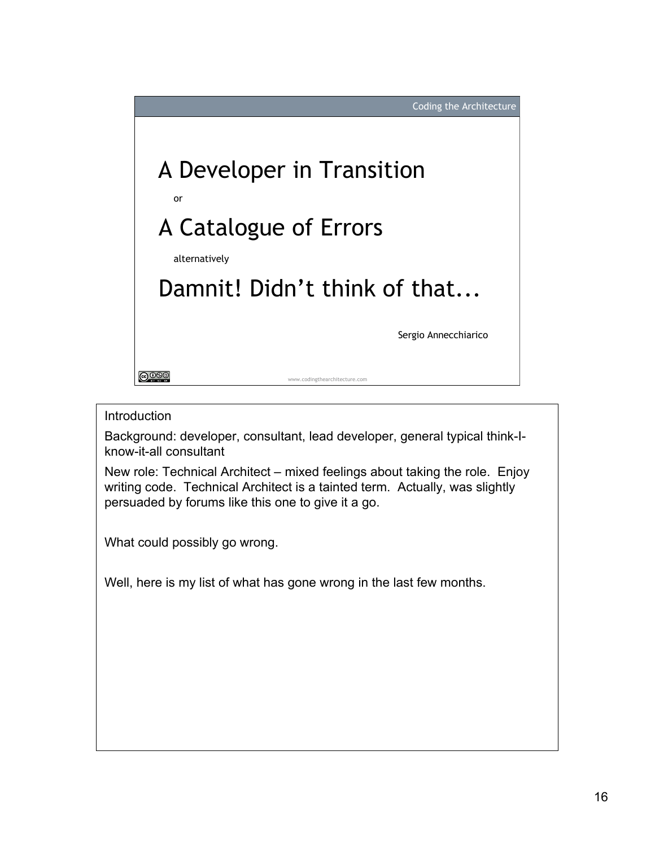

## **Introduction**

Background: developer, consultant, lead developer, general typical think-Iknow-it-all consultant

New role: Technical Architect – mixed feelings about taking the role. Enjoy writing code. Technical Architect is a tainted term. Actually, was slightly persuaded by forums like this one to give it a go.

What could possibly go wrong.

Well, here is my list of what has gone wrong in the last few months.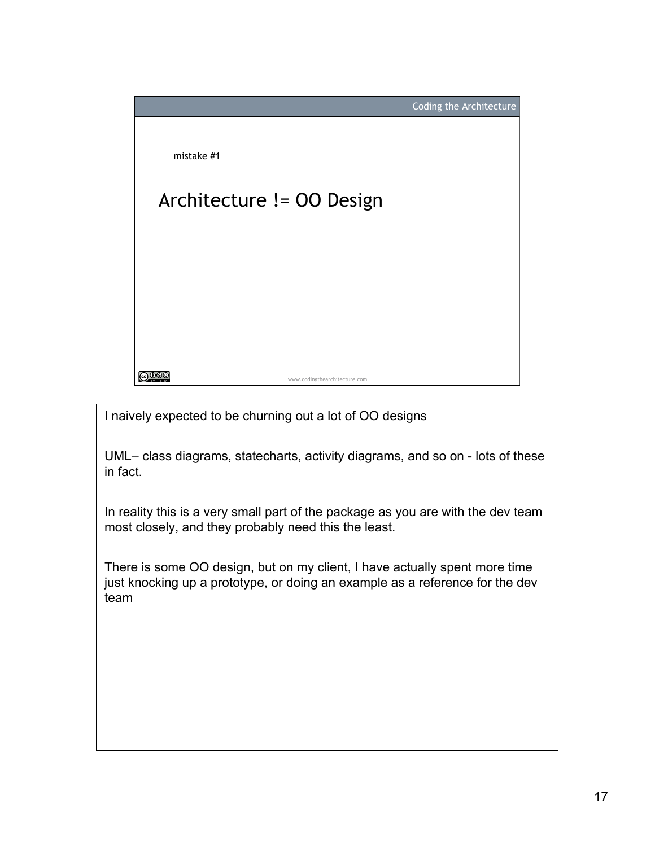

I naively expected to be churning out a lot of OO designs

UML– class diagrams, statecharts, activity diagrams, and so on - lots of these in fact.

In reality this is a very small part of the package as you are with the dev team most closely, and they probably need this the least.

There is some OO design, but on my client, I have actually spent more time just knocking up a prototype, or doing an example as a reference for the dev team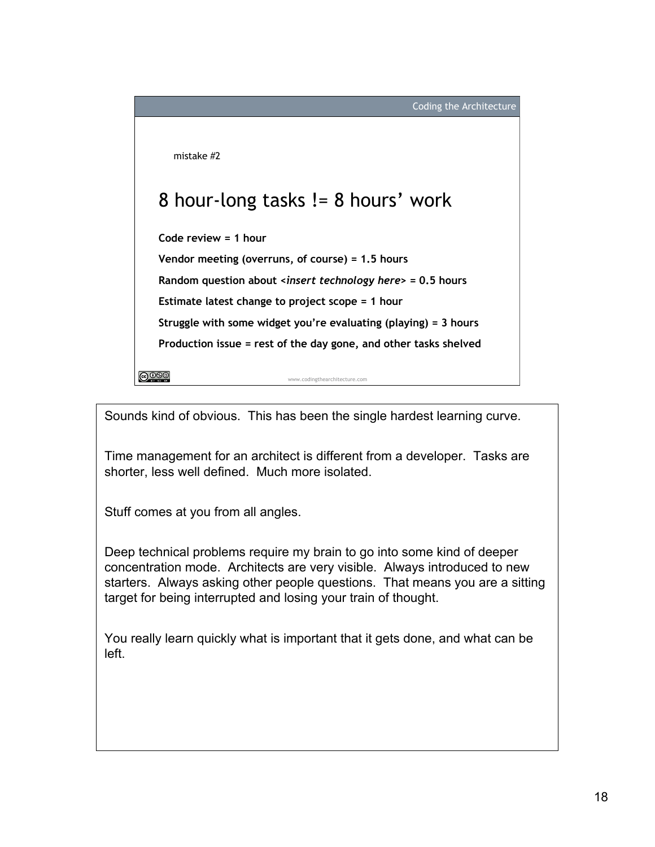Coding the Architecture

mistake #2

## 8 hour-long tasks != 8 hours' work

**Code review = 1 hour**

**Vendor meeting (overruns, of course) = 1.5 hours**

**Random question about <***insert technology here***> = 0.5 hours**

**Estimate latest change to project scope = 1 hour**

**Struggle with some widget you're evaluating (playing) = 3 hours Production issue = rest of the day gone, and other tasks shelved**

www.codingthearchitecture.com

**@000** 

Sounds kind of obvious. This has been the single hardest learning curve.

Time management for an architect is different from a developer. Tasks are shorter, less well defined. Much more isolated.

Stuff comes at you from all angles.

Deep technical problems require my brain to go into some kind of deeper concentration mode. Architects are very visible. Always introduced to new starters. Always asking other people questions. That means you are a sitting target for being interrupted and losing your train of thought.

You really learn quickly what is important that it gets done, and what can be left.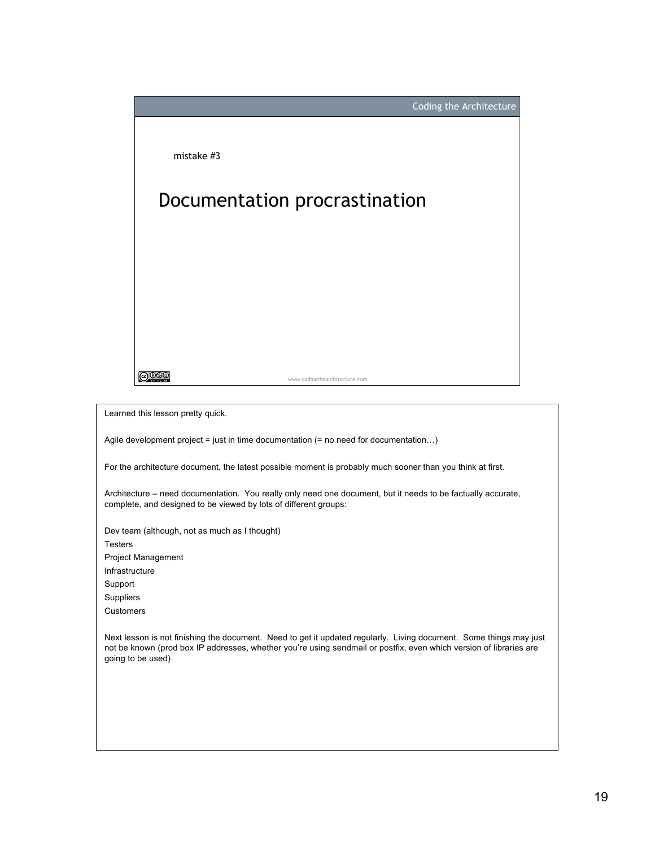

Learned this lesson pretty quick.

Agile development project = just in time documentation (= no need for documentation…)

For the architecture document, the latest possible moment is probably much sooner than you think at first.

Architecture – need documentation. You really only need one document, but it needs to be factually accurate, complete, and designed to be viewed by lots of different groups:

Dev team (although, not as much as I thought) **Testers** Project Management Infrastructure Support **Suppliers** Customers

Next lesson is not finishing the document. Need to get it updated regularly. Living document. Some things may just not be known (prod box IP addresses, whether you're using sendmail or postfix, even which version of libraries are going to be used)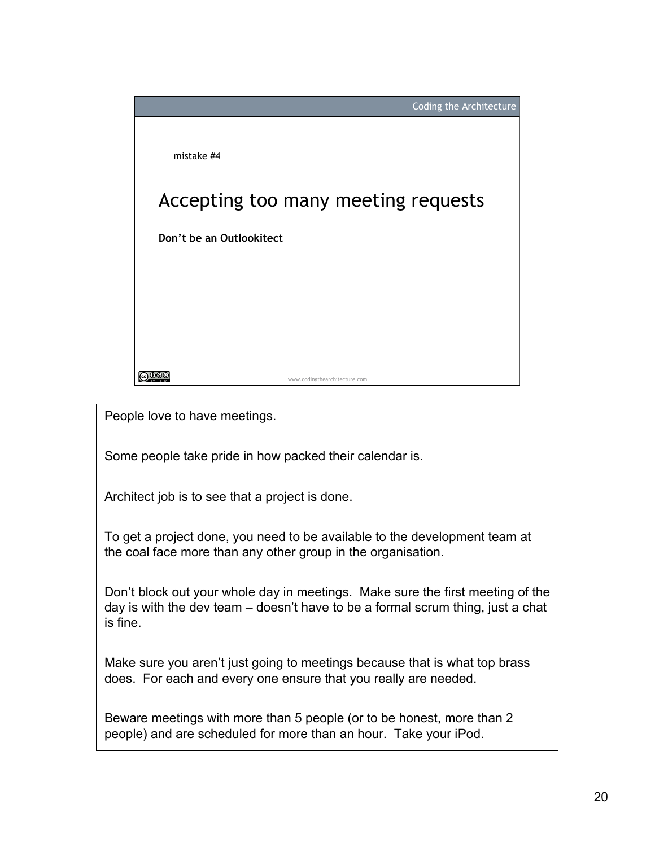

People love to have meetings.

Some people take pride in how packed their calendar is.

Architect job is to see that a project is done.

To get a project done, you need to be available to the development team at the coal face more than any other group in the organisation.

Don't block out your whole day in meetings. Make sure the first meeting of the day is with the dev team – doesn't have to be a formal scrum thing, just a chat is fine.

Make sure you aren't just going to meetings because that is what top brass does. For each and every one ensure that you really are needed.

Beware meetings with more than 5 people (or to be honest, more than 2 people) and are scheduled for more than an hour. Take your iPod.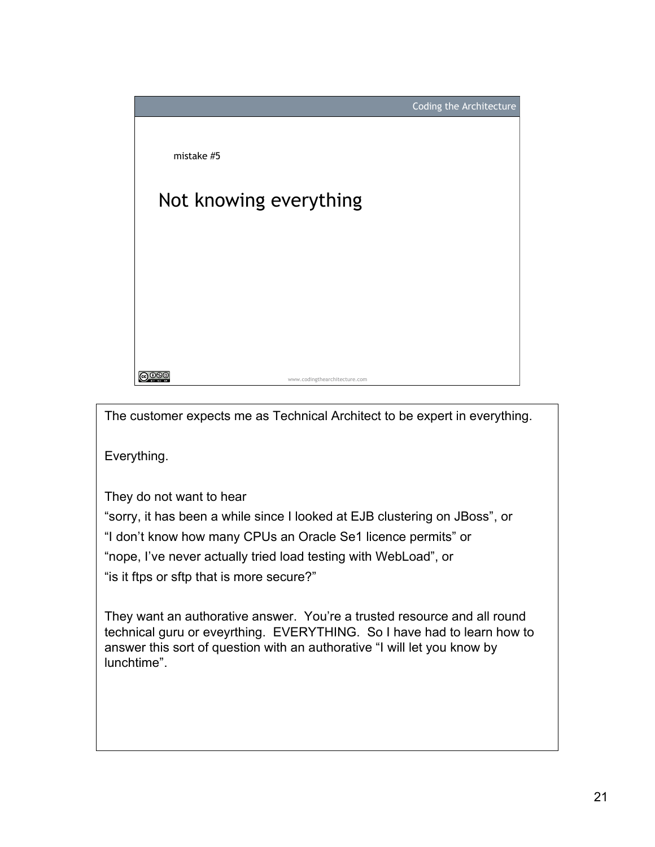

The customer expects me as Technical Architect to be expert in everything.

Everything.

They do not want to hear

"sorry, it has been a while since I looked at EJB clustering on JBoss", or

"I don't know how many CPUs an Oracle Se1 licence permits" or

"nope, I've never actually tried load testing with WebLoad", or

"is it ftps or sftp that is more secure?"

They want an authorative answer. You're a trusted resource and all round technical guru or eveyrthing. EVERYTHING. So I have had to learn how to answer this sort of question with an authorative "I will let you know by lunchtime".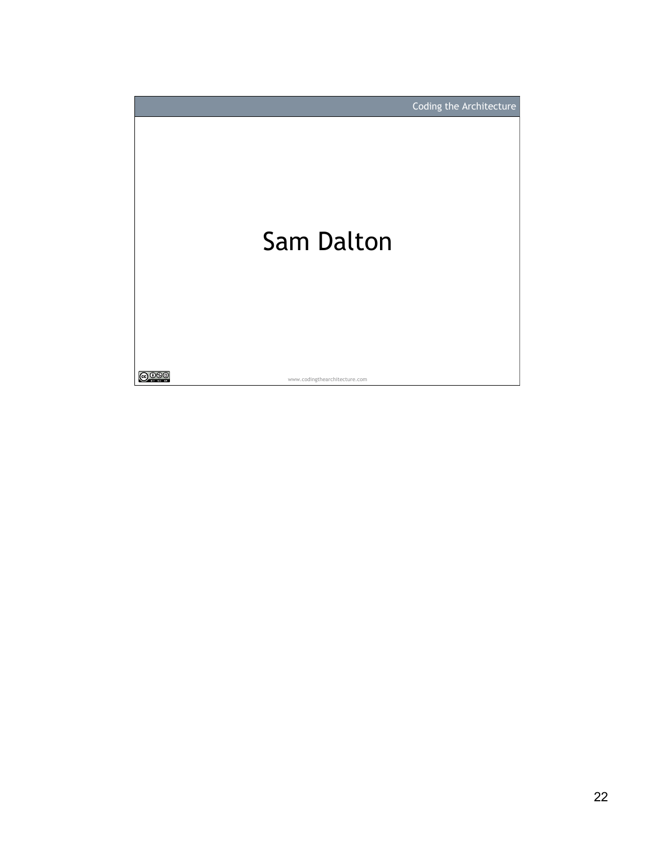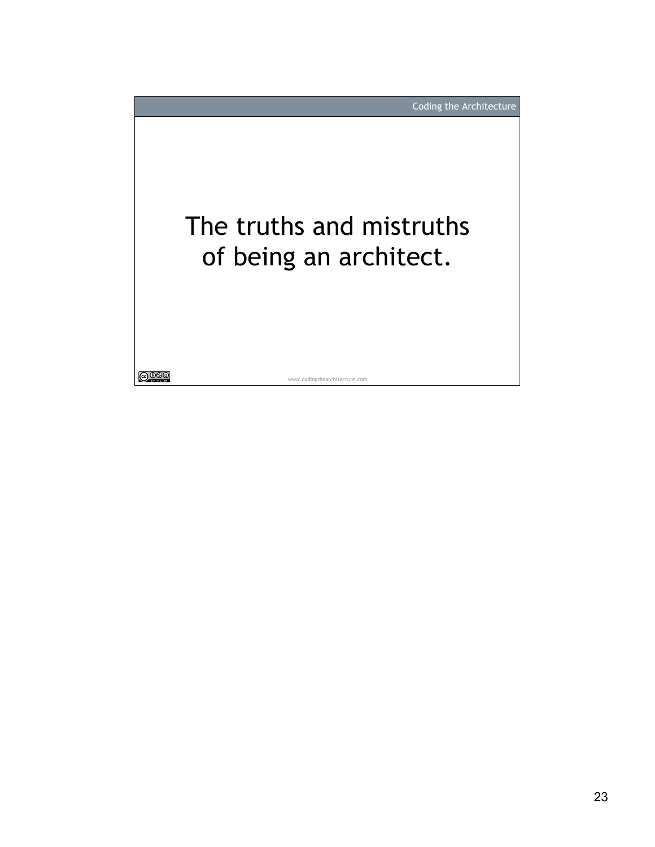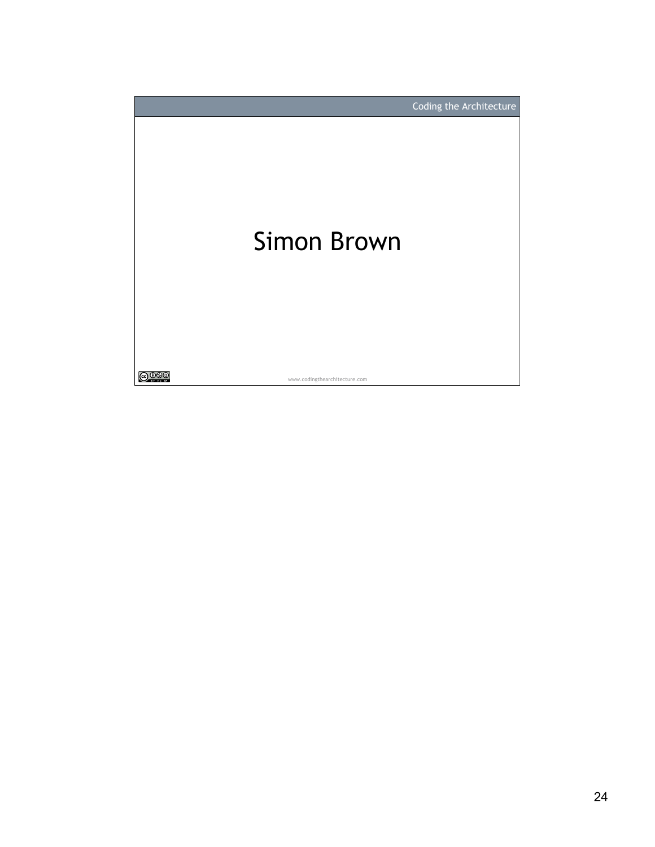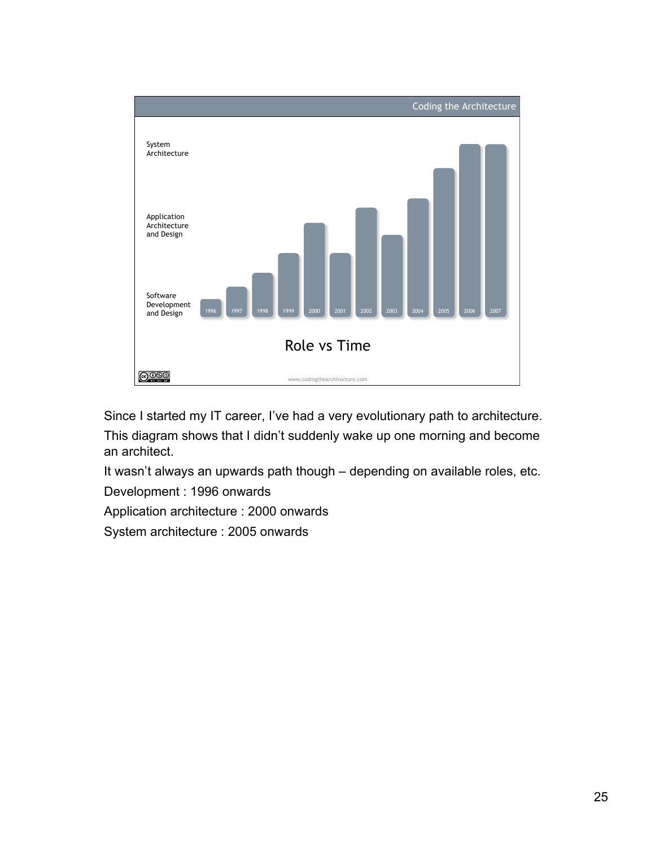

Since I started my IT career, I've had a very evolutionary path to architecture. This diagram shows that I didn't suddenly wake up one morning and become an architect.

It wasn't always an upwards path though – depending on available roles, etc.

Development : 1996 onwards

Application architecture : 2000 onwards

System architecture : 2005 onwards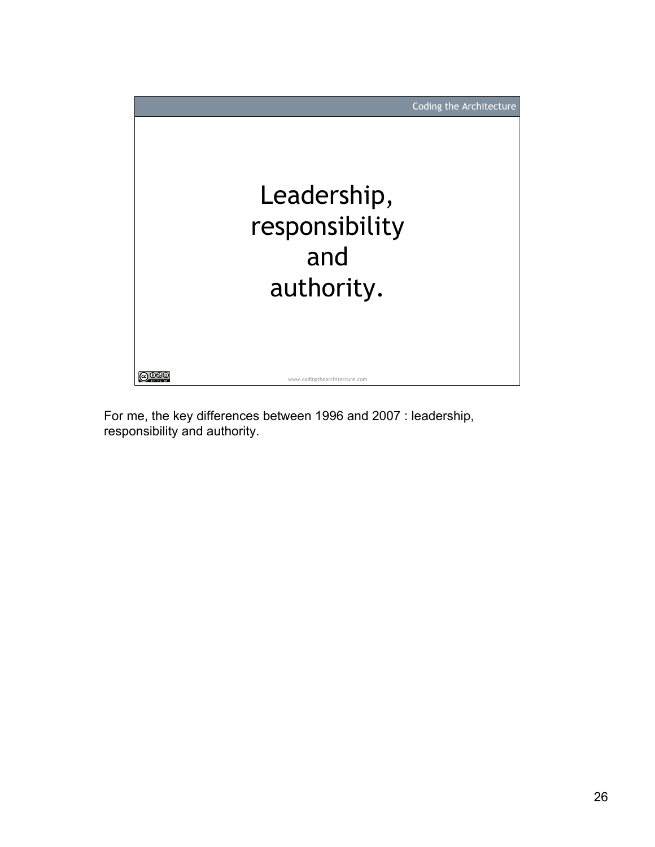

For me, the key differences between 1996 and 2007 : leadership, responsibility and authority.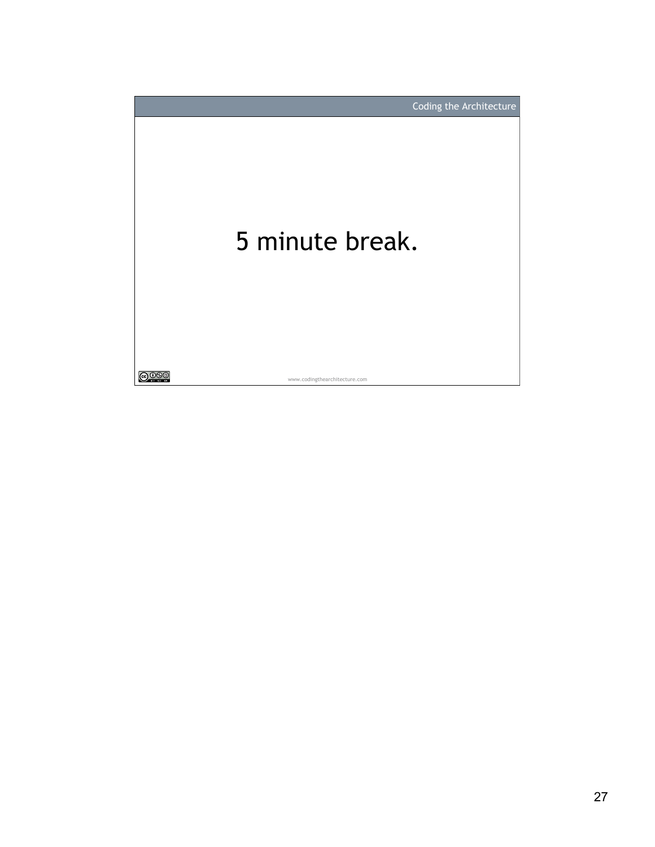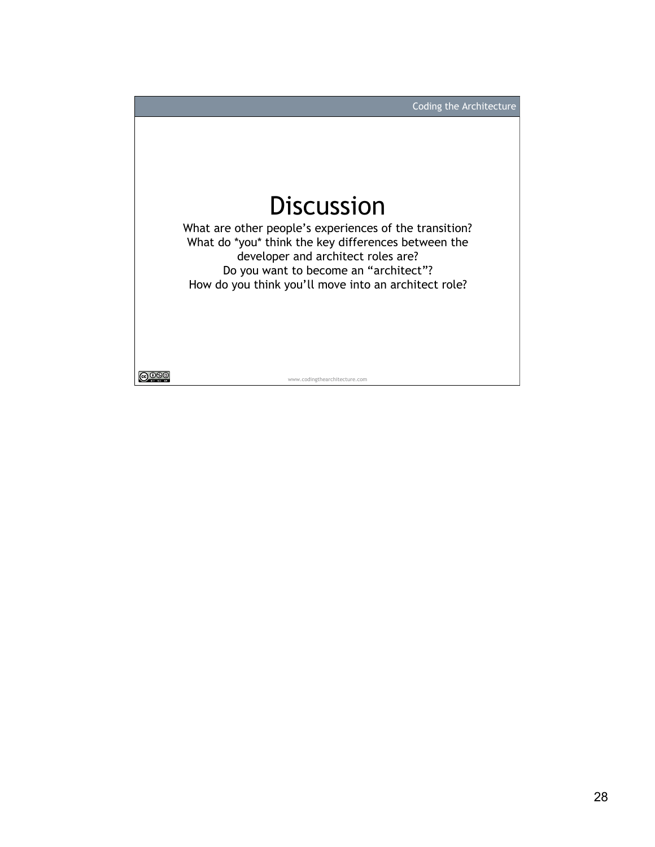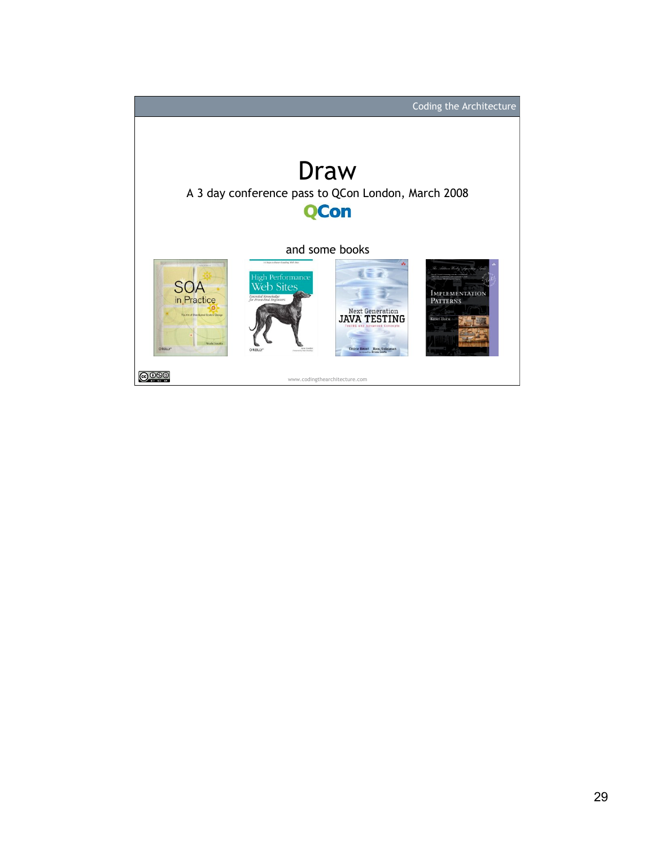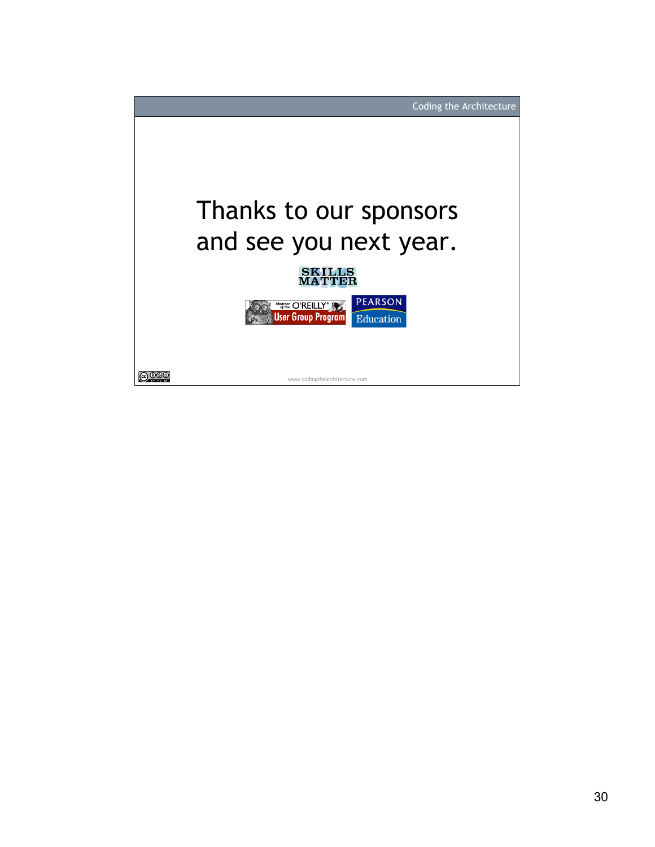